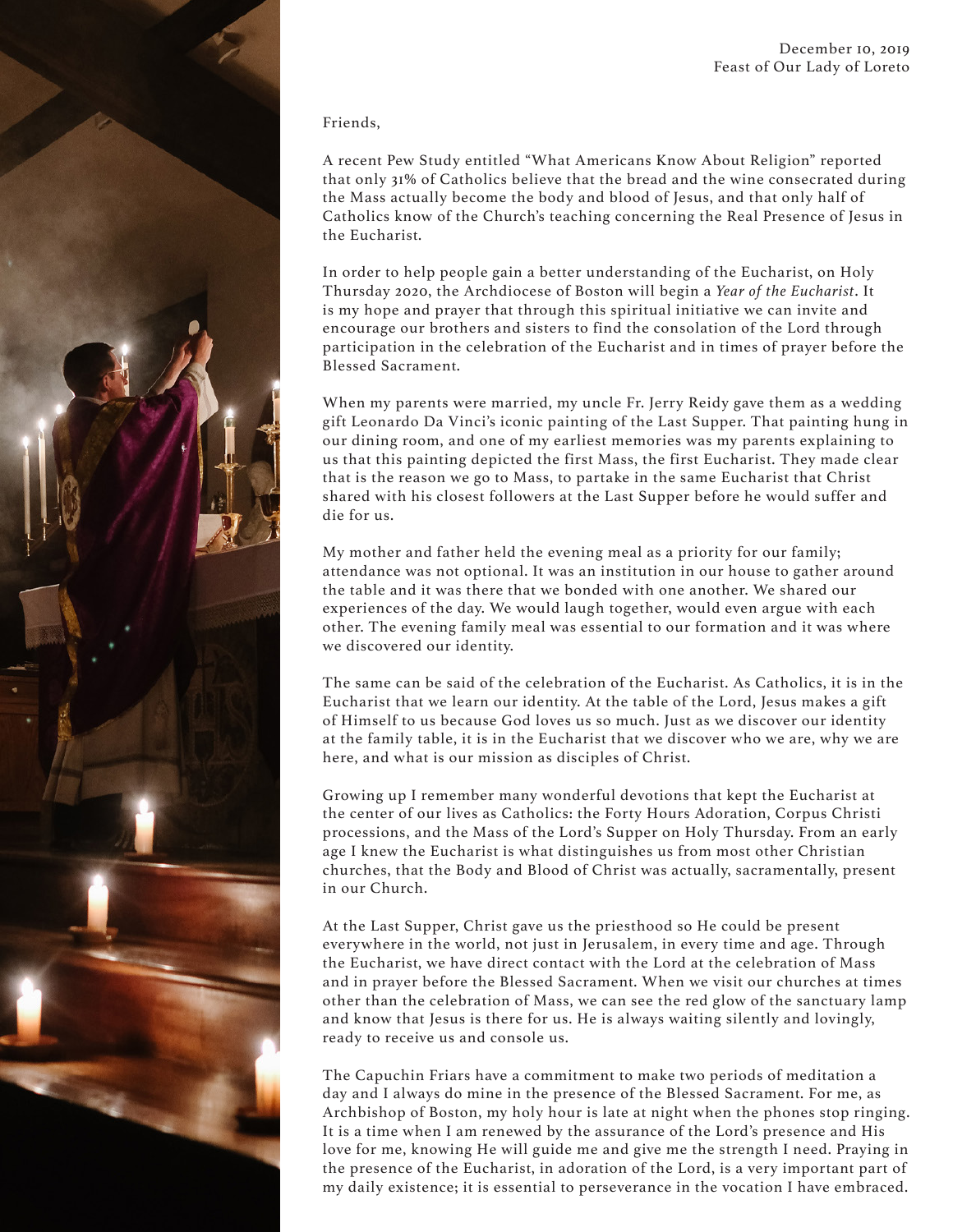

## Friends,

A recent Pew Study entitled "What Americans Know About Religion" reported that only 31% of Catholics believe that the bread and the wine consecrated during the Mass actually become the body and blood of Jesus, and that only half of Catholics know of the Church's teaching concerning the Real Presence of Jesus in the Eucharist.

In order to help people gain a better understanding of the Eucharist, on Holy Thursday 2020, the Archdiocese of Boston will begin a *Year of the Eucharist*. It is my hope and prayer that through this spiritual initiative we can invite and encourage our brothers and sisters to find the consolation of the Lord through participation in the celebration of the Eucharist and in times of prayer before the Blessed Sacrament.

When my parents were married, my uncle Fr. Jerry Reidy gave them as a wedding gift Leonardo Da Vinci's iconic painting of the Last Supper. That painting hung in our dining room, and one of my earliest memories was my parents explaining to us that this painting depicted the first Mass, the first Eucharist. They made clear that is the reason we go to Mass, to partake in the same Eucharist that Christ shared with his closest followers at the Last Supper before he would suffer and die for us.

My mother and father held the evening meal as a priority for our family; attendance was not optional. It was an institution in our house to gather around the table and it was there that we bonded with one another. We shared our experiences of the day. We would laugh together, would even argue with each other. The evening family meal was essential to our formation and it was where we discovered our identity.

The same can be said of the celebration of the Eucharist. As Catholics, it is in the Eucharist that we learn our identity. At the table of the Lord, Jesus makes a gift of Himself to us because God loves us so much. Just as we discover our identity at the family table, it is in the Eucharist that we discover who we are, why we are here, and what is our mission as disciples of Christ.

Growing up I remember many wonderful devotions that kept the Eucharist at the center of our lives as Catholics: the Forty Hours Adoration, Corpus Christi processions, and the Mass of the Lord's Supper on Holy Thursday. From an early age I knew the Eucharist is what distinguishes us from most other Christian churches, that the Body and Blood of Christ was actually, sacramentally, present in our Church.

At the Last Supper, Christ gave us the priesthood so He could be present everywhere in the world, not just in Jerusalem, in every time and age. Through the Eucharist, we have direct contact with the Lord at the celebration of Mass and in prayer before the Blessed Sacrament. When we visit our churches at times other than the celebration of Mass, we can see the red glow of the sanctuary lamp and know that Jesus is there for us. He is always waiting silently and lovingly, ready to receive us and console us.

The Capuchin Friars have a commitment to make two periods of meditation a day and I always do mine in the presence of the Blessed Sacrament. For me, as Archbishop of Boston, my holy hour is late at night when the phones stop ringing. It is a time when I am renewed by the assurance of the Lord's presence and His love for me, knowing He will guide me and give me the strength I need. Praying in the presence of the Eucharist, in adoration of the Lord, is a very important part of my daily existence; it is essential to perseverance in the vocation I have embraced.